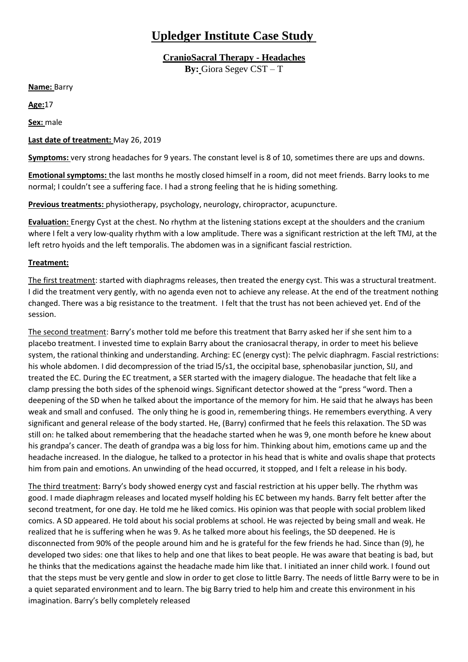## **Upledger Institute Case Study**

**CranioSacral Therapy - Headaches**

**By:** Giora Segev CST – T

**Name:** Barry

**Age:**17

**Sex:** male

## **Last date of treatment:** May 26, 2019

**Symptoms:** very strong headaches for 9 years. The constant level is 8 of 10, sometimes there are ups and downs.

**Emotional symptoms:** the last months he mostly closed himself in a room, did not meet friends. Barry looks to me normal; I couldn't see a suffering face. I had a strong feeling that he is hiding something.

**Previous treatments:** physiotherapy, psychology, neurology, chiropractor, acupuncture.

**Evaluation:** Energy Cyst at the chest. No rhythm at the listening stations except at the shoulders and the cranium where I felt a very low-quality rhythm with a low amplitude. There was a significant restriction at the left TMJ, at the left retro hyoids and the left temporalis. The abdomen was in a significant fascial restriction.

## **Treatment:**

The first treatment: started with diaphragms releases, then treated the energy cyst. This was a structural treatment. I did the treatment very gently, with no agenda even not to achieve any release. At the end of the treatment nothing changed. There was a big resistance to the treatment. I felt that the trust has not been achieved yet. End of the session.

The second treatment: Barry's mother told me before this treatment that Barry asked her if she sent him to a placebo treatment. I invested time to explain Barry about the craniosacral therapy, in order to meet his believe system, the rational thinking and understanding. Arching: EC (energy cyst): The pelvic diaphragm. Fascial restrictions: his whole abdomen. I did decompression of the triad I5/s1, the occipital base, sphenobasilar junction, SIJ, and treated the EC. During the EC treatment, a SER started with the imagery dialogue. The headache that felt like a clamp pressing the both sides of the sphenoid wings. Significant detector showed at the "press "word. Then a deepening of the SD when he talked about the importance of the memory for him. He said that he always has been weak and small and confused. The only thing he is good in, remembering things. He remembers everything. A very significant and general release of the body started. He, (Barry) confirmed that he feels this relaxation. The SD was still on: he talked about remembering that the headache started when he was 9, one month before he knew about his grandpa's cancer. The death of grandpa was a big loss for him. Thinking about him, emotions came up and the headache increased. In the dialogue, he talked to a protector in his head that is white and ovalis shape that protects him from pain and emotions. An unwinding of the head occurred, it stopped, and I felt a release in his body.

The third treatment: Barry's body showed energy cyst and fascial restriction at his upper belly. The rhythm was good. I made diaphragm releases and located myself holding his EC between my hands. Barry felt better after the second treatment, for one day. He told me he liked comics. His opinion was that people with social problem liked comics. A SD appeared. He told about his social problems at school. He was rejected by being small and weak. He realized that he is suffering when he was 9. As he talked more about his feelings, the SD deepened. He is disconnected from 90% of the people around him and he is grateful for the few friends he had. Since than (9), he developed two sides: one that likes to help and one that likes to beat people. He was aware that beating is bad, but he thinks that the medications against the headache made him like that. I initiated an inner child work. I found out that the steps must be very gentle and slow in order to get close to little Barry. The needs of little Barry were to be in a quiet separated environment and to learn. The big Barry tried to help him and create this environment in his imagination. Barry's belly completely released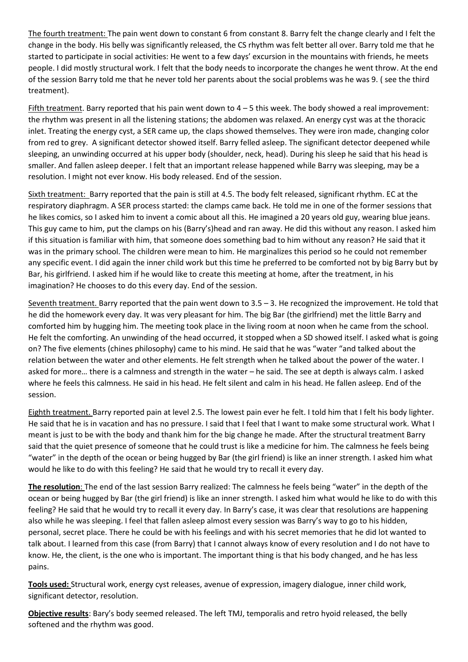The fourth treatment: The pain went down to constant 6 from constant 8. Barry felt the change clearly and I felt the change in the body. His belly was significantly released, the CS rhythm was felt better all over. Barry told me that he started to participate in social activities: He went to a few days' excursion in the mountains with friends, he meets people. I did mostly structural work. I felt that the body needs to incorporate the changes he went throw. At the end of the session Barry told me that he never told her parents about the social problems was he was 9. ( see the third treatment).

Fifth treatment. Barry reported that his pain went down to  $4 - 5$  this week. The body showed a real improvement: the rhythm was present in all the listening stations; the abdomen was relaxed. An energy cyst was at the thoracic inlet. Treating the energy cyst, a SER came up, the claps showed themselves. They were iron made, changing color from red to grey. A significant detector showed itself. Barry felled asleep. The significant detector deepened while sleeping, an unwinding occurred at his upper body (shoulder, neck, head). During his sleep he said that his head is smaller. And fallen asleep deeper. I felt that an important release happened while Barry was sleeping, may be a resolution. I might not ever know. His body released. End of the session.

Sixth treatment: Barry reported that the pain is still at 4.5. The body felt released, significant rhythm. EC at the respiratory diaphragm. A SER process started: the clamps came back. He told me in one of the former sessions that he likes comics, so I asked him to invent a comic about all this. He imagined a 20 years old guy, wearing blue jeans. This guy came to him, put the clamps on his (Barry's)head and ran away. He did this without any reason. I asked him if this situation is familiar with him, that someone does something bad to him without any reason? He said that it was in the primary school. The children were mean to him. He marginalizes this period so he could not remember any specific event. I did again the inner child work but this time he preferred to be comforted not by big Barry but by Bar, his girlfriend. I asked him if he would like to create this meeting at home, after the treatment, in his imagination? He chooses to do this every day. End of the session.

Seventh treatment. Barry reported that the pain went down to  $3.5 - 3$ . He recognized the improvement. He told that he did the homework every day. It was very pleasant for him. The big Bar (the girlfriend) met the little Barry and comforted him by hugging him. The meeting took place in the living room at noon when he came from the school. He felt the comforting. An unwinding of the head occurred, it stopped when a SD showed itself. I asked what is going on? The five elements (chines philosophy) came to his mind. He said that he was "water "and talked about the relation between the water and other elements. He felt strength when he talked about the power of the water. I asked for more… there is a calmness and strength in the water – he said. The see at depth is always calm. I asked where he feels this calmness. He said in his head. He felt silent and calm in his head. He fallen asleep. End of the session.

Eighth treatment. Barry reported pain at level 2.5. The lowest pain ever he felt. I told him that I felt his body lighter. He said that he is in vacation and has no pressure. I said that I feel that I want to make some structural work. What I meant is just to be with the body and thank him for the big change he made. After the structural treatment Barry said that the quiet presence of someone that he could trust is like a medicine for him. The calmness he feels being "water" in the depth of the ocean or being hugged by Bar (the girl friend) is like an inner strength. I asked him what would he like to do with this feeling? He said that he would try to recall it every day.

**The resolution**: The end of the last session Barry realized: The calmness he feels being "water" in the depth of the ocean or being hugged by Bar (the girl friend) is like an inner strength. I asked him what would he like to do with this feeling? He said that he would try to recall it every day. In Barry's case, it was clear that resolutions are happening also while he was sleeping. I feel that fallen asleep almost every session was Barry's way to go to his hidden, personal, secret place. There he could be with his feelings and with his secret memories that he did lot wanted to talk about. I learned from this case (from Barry) that I cannot always know of every resolution and I do not have to know. He, the client, is the one who is important. The important thing is that his body changed, and he has less pains.

**Tools used:** Structural work, energy cyst releases, avenue of expression, imagery dialogue, inner child work, significant detector, resolution.

**Objective results**: Bary's body seemed released. The left TMJ, temporalis and retro hyoid released, the belly softened and the rhythm was good.